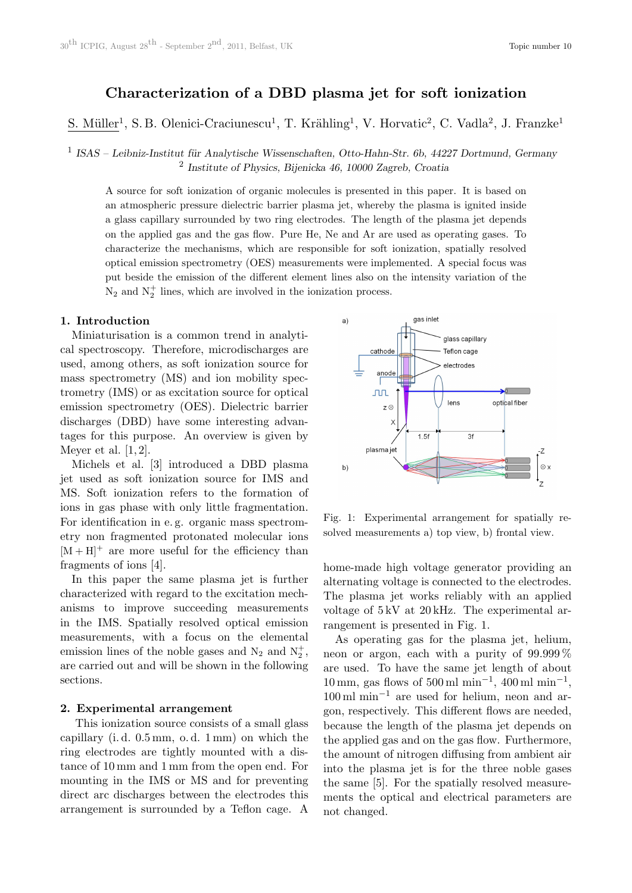# Characterization of a DBD plasma jet for soft ionization

S. Müller<sup>1</sup>, S.B. Olenici-Craciunescu<sup>1</sup>, T. Krähling<sup>1</sup>, V. Horvatic<sup>2</sup>, C. Vadla<sup>2</sup>, J. Franzke<sup>1</sup>

 $1$  ISAS – Leibniz-Institut für Analytische Wissenschaften, Otto-Hahn-Str. 6b, 44227 Dortmund, Germany 2 Institute of Physics, Bijenicka 46, 10000 Zagreb, Croatia

A source for soft ionization of organic molecules is presented in this paper. It is based on an atmospheric pressure dielectric barrier plasma jet, whereby the plasma is ignited inside a glass capillary surrounded by two ring electrodes. The length of the plasma jet depends on the applied gas and the gas flow. Pure He, Ne and Ar are used as operating gases. To characterize the mechanisms, which are responsible for soft ionization, spatially resolved optical emission spectrometry (OES) measurements were implemented. A special focus was put beside the emission of the different element lines also on the intensity variation of the  $N_2$  and  $N_2^+$  lines, which are involved in the ionization process.

### 1. Introduction

Miniaturisation is a common trend in analytical spectroscopy. Therefore, microdischarges are used, among others, as soft ionization source for mass spectrometry (MS) and ion mobility spectrometry (IMS) or as excitation source for optical emission spectrometry (OES). Dielectric barrier discharges (DBD) have some interesting advantages for this purpose. An overview is given by Meyer et al. [1, 2].

Michels et al. [3] introduced a DBD plasma jet used as soft ionization source for IMS and MS. Soft ionization refers to the formation of ions in gas phase with only little fragmentation. For identification in e. g. organic mass spectrometry non fragmented protonated molecular ions  $[M + H]$ <sup>+</sup> are more useful for the efficiency than fragments of ions [4].

In this paper the same plasma jet is further characterized with regard to the excitation mechanisms to improve succeeding measurements in the IMS. Spatially resolved optical emission measurements, with a focus on the elemental emission lines of the noble gases and  $N_2$  and  $N_2^+$ , are carried out and will be shown in the following sections.

#### 2. Experimental arrangement

This ionization source consists of a small glass capillary (i. d. 0.5 mm, o. d. 1 mm) on which the ring electrodes are tightly mounted with a distance of 10 mm and 1 mm from the open end. For mounting in the IMS or MS and for preventing direct arc discharges between the electrodes this arrangement is surrounded by a Teflon cage. A



Fig. 1: Experimental arrangement for spatially resolved measurements a) top view, b) frontal view.

home-made high voltage generator providing an alternating voltage is connected to the electrodes. The plasma jet works reliably with an applied voltage of 5 kV at 20 kHz. The experimental arrangement is presented in Fig. 1.

As operating gas for the plasma jet, helium, neon or argon, each with a purity of 99.999 % are used. To have the same jet length of about  $10 \text{ mm}$ , gas flows of  $500 \text{ ml min}^{-1}$ ,  $400 \text{ ml min}^{-1}$ , 100 ml min−<sup>1</sup> are used for helium, neon and argon, respectively. This different flows are needed, because the length of the plasma jet depends on the applied gas and on the gas flow. Furthermore, the amount of nitrogen diffusing from ambient air into the plasma jet is for the three noble gases the same [5]. For the spatially resolved measurements the optical and electrical parameters are not changed.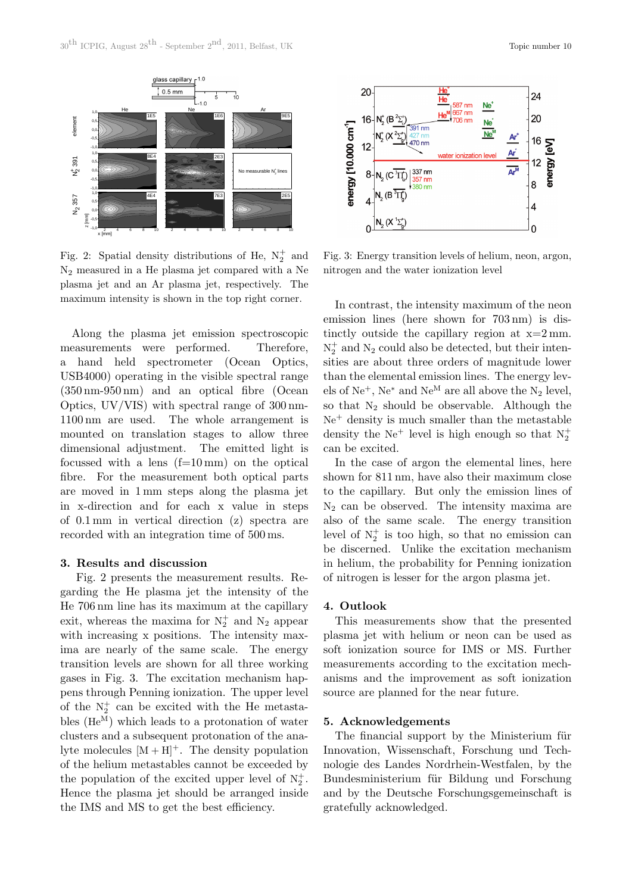

Fig. 2: Spatial density distributions of He,  $N_2^+$  and N<sup>2</sup> measured in a He plasma jet compared with a Ne plasma jet and an Ar plasma jet, respectively. The maximum intensity is shown in the top right corner.

Along the plasma jet emission spectroscopic measurements were performed. Therefore, a hand held spectrometer (Ocean Optics, USB4000) operating in the visible spectral range (350 nm-950 nm) and an optical fibre (Ocean Optics, UV/VIS) with spectral range of 300 nm-1100 nm are used. The whole arrangement is mounted on translation stages to allow three dimensional adjustment. The emitted light is focussed with a lens (f=10 mm) on the optical fibre. For the measurement both optical parts are moved in 1 mm steps along the plasma jet in x-direction and for each x value in steps of 0.1 mm in vertical direction (z) spectra are recorded with an integration time of 500 ms.

## 3. Results and discussion

Fig. 2 presents the measurement results. Regarding the He plasma jet the intensity of the He 706 nm line has its maximum at the capillary exit, whereas the maxima for  $N_2^+$  and  $N_2$  appear with increasing x positions. The intensity maxima are nearly of the same scale. The energy transition levels are shown for all three working gases in Fig. 3. The excitation mechanism happens through Penning ionization. The upper level of the  $N_2^+$  can be excited with the He metastables  $(He^{M})$  which leads to a protonation of water clusters and a subsequent protonation of the analyte molecules  $[M + H]$ <sup>+</sup>. The density population of the helium metastables cannot be exceeded by the population of the excited upper level of  $N_2^+$ . Hence the plasma jet should be arranged inside the IMS and MS to get the best efficiency.



Fig. 3: Energy transition levels of helium, neon, argon, nitrogen and the water ionization level

In contrast, the intensity maximum of the neon emission lines (here shown for 703 nm) is distinctly outside the capillary region at  $x=2$  mm.  $N_2^+$  and  $N_2$  could also be detected, but their intensities are about three orders of magnitude lower than the elemental emission lines. The energy levels of Ne<sup>+</sup>, Ne<sup>\*</sup> and Ne<sup>M</sup> are all above the N<sub>2</sub> level. so that  $N_2$  should be observable. Although the  $Ne<sup>+</sup>$  density is much smaller than the metastable density the Ne<sup>+</sup> level is high enough so that  $N_2^+$ can be excited.

In the case of argon the elemental lines, here shown for 811 nm, have also their maximum close to the capillary. But only the emission lines of  $N_2$  can be observed. The intensity maxima are also of the same scale. The energy transition level of  $N_2^+$  is too high, so that no emission can be discerned. Unlike the excitation mechanism in helium, the probability for Penning ionization of nitrogen is lesser for the argon plasma jet.

### 4. Outlook

This measurements show that the presented plasma jet with helium or neon can be used as soft ionization source for IMS or MS. Further measurements according to the excitation mechanisms and the improvement as soft ionization source are planned for the near future.

#### 5. Acknowledgements

The financial support by the Ministerium für Innovation, Wissenschaft, Forschung und Technologie des Landes Nordrhein-Westfalen, by the Bundesministerium für Bildung und Forschung and by the Deutsche Forschungsgemeinschaft is gratefully acknowledged.